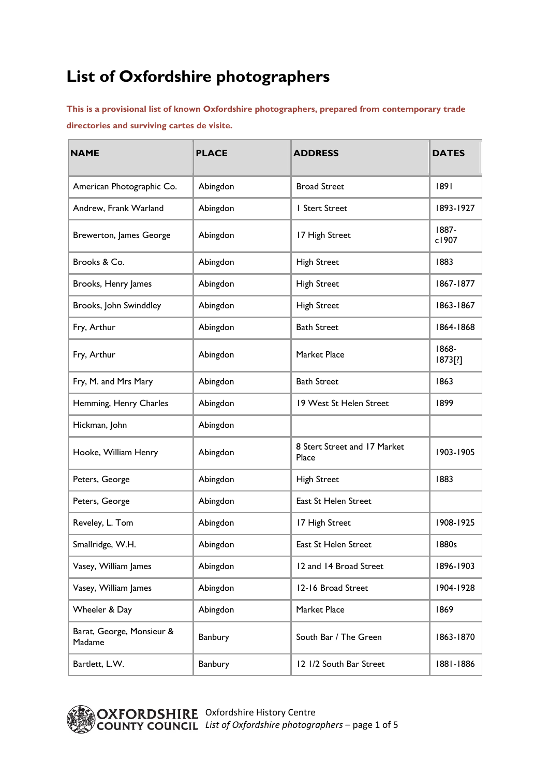## **List of Oxfordshire photographers**

**This is a provisional list of known Oxfordshire photographers, prepared from contemporary trade directories and surviving cartes de visite.** 

| <b>NAME</b>                         | <b>PLACE</b> | <b>ADDRESS</b>                        | <b>DATES</b>     |
|-------------------------------------|--------------|---------------------------------------|------------------|
| American Photographic Co.           | Abingdon     | <b>Broad Street</b>                   | 1891             |
| Andrew, Frank Warland               | Abingdon     | I Stert Street                        | 1893-1927        |
| Brewerton, James George             | Abingdon     | 17 High Street                        | 1887-<br>c1907   |
| Brooks & Co.                        | Abingdon     | <b>High Street</b>                    | 1883             |
| Brooks, Henry James                 | Abingdon     | <b>High Street</b>                    | 1867-1877        |
| Brooks, John Swinddley              | Abingdon     | <b>High Street</b>                    | 1863-1867        |
| Fry, Arthur                         | Abingdon     | <b>Bath Street</b>                    | 1864-1868        |
| Fry, Arthur                         | Abingdon     | Market Place                          | 1868-<br>1873[?] |
| Fry, M. and Mrs Mary                | Abingdon     | <b>Bath Street</b>                    | 1863             |
| Hemming, Henry Charles              | Abingdon     | 19 West St Helen Street               | 1899             |
| Hickman, John                       | Abingdon     |                                       |                  |
| Hooke, William Henry                | Abingdon     | 8 Stert Street and 17 Market<br>Place | 1903-1905        |
| Peters, George                      | Abingdon     | <b>High Street</b>                    | 1883             |
| Peters, George                      | Abingdon     | East St Helen Street                  |                  |
| Reveley, L. Tom                     | Abingdon     | 17 High Street                        | 1908-1925        |
| Smallridge, W.H.                    | Abingdon     | East St Helen Street                  | 1880s            |
| Vasey, William James                | Abingdon     | 12 and 14 Broad Street                | 1896-1903        |
| Vasey, William James                | Abingdon     | 12-16 Broad Street                    | 1904-1928        |
| Wheeler & Day                       | Abingdon     | Market Place                          | 1869             |
| Barat, George, Monsieur &<br>Madame | Banbury      | South Bar / The Green                 | 1863-1870        |
| Bartlett, L.W.                      | Banbury      | 12 1/2 South Bar Street               | 1881-1886        |

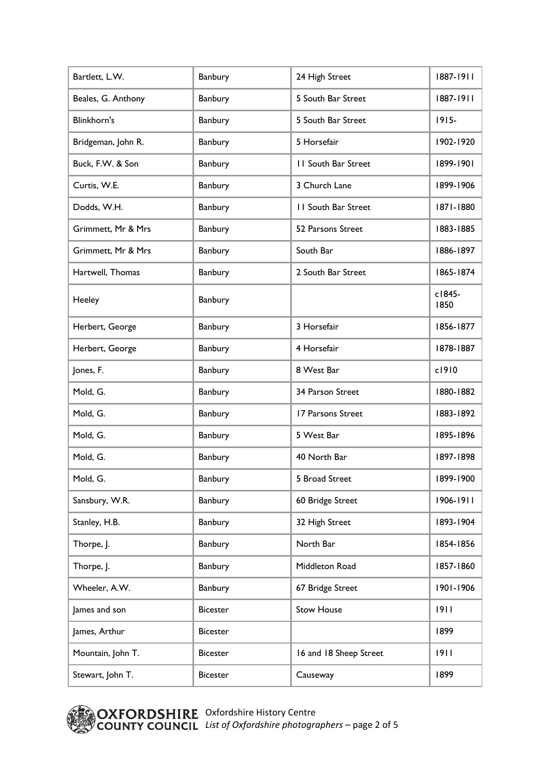| Bartlett, L.W.     | Banbury         | 24 High Street             | 1887-1911      |
|--------------------|-----------------|----------------------------|----------------|
| Beales, G. Anthony | Banbury         | 5 South Bar Street         | 1887-1911      |
| Blinkhorn's        | Banbury         | 5 South Bar Street         | $1915 -$       |
| Bridgeman, John R. | Banbury         | 5 Horsefair                | 1902-1920      |
| Buck, F.W. & Son   | Banbury         | <b>11 South Bar Street</b> | 1899-1901      |
| Curtis, W.E.       | Banbury         | 3 Church Lane              | 1899-1906      |
| Dodds, W.H.        | Banbury         | <b>11 South Bar Street</b> | 1871-1880      |
| Grimmett, Mr & Mrs | Banbury         | 52 Parsons Street          | 1883-1885      |
| Grimmett, Mr & Mrs | Banbury         | South Bar                  | 1886-1897      |
| Hartwell, Thomas   | Banbury         | 2 South Bar Street         | 1865-1874      |
| Heeley             | Banbury         |                            | c1845-<br>1850 |
| Herbert, George    | Banbury         | 3 Horsefair                | 1856-1877      |
| Herbert, George    | Banbury         | 4 Horsefair                | 1878-1887      |
| Jones, F.          | Banbury         | 8 West Bar                 | c1910          |
| Mold, G.           | Banbury         | 34 Parson Street           | 1880-1882      |
| Mold, G.           | Banbury         | 17 Parsons Street          | 1883-1892      |
| Mold, G.           | Banbury         | 5 West Bar                 | 1895-1896      |
| Mold, G.           | Banbury         | 40 North Bar               | 1897-1898      |
| Mold, G.           | Banbury         | 5 Broad Street             | 1899-1900      |
| Sansbury, W.R.     | Banbury         | 60 Bridge Street           | 1906-1911      |
| Stanley, H.B.      | Banbury         | 32 High Street             | 1893-1904      |
| Thorpe, J.         | Banbury         | North Bar                  | 1854-1856      |
| Thorpe, J.         | Banbury         | Middleton Road             | 1857-1860      |
| Wheeler, A.W.      | Banbury         | 67 Bridge Street           | 1901-1906      |
| James and son      | <b>Bicester</b> | <b>Stow House</b>          | 1911           |
| James, Arthur      | <b>Bicester</b> |                            | 1899           |
| Mountain, John T.  | <b>Bicester</b> | 16 and 18 Sheep Street     | 1911           |
| Stewart, John T.   | <b>Bicester</b> | Causeway                   | 1899           |

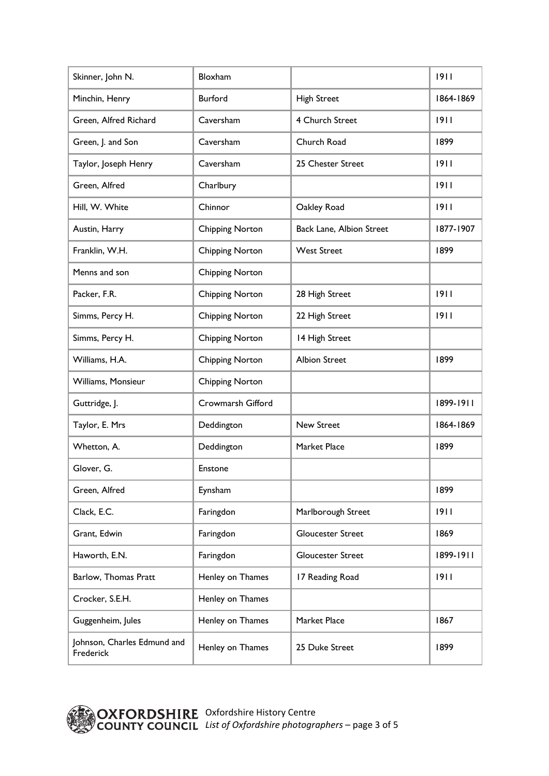| Skinner, John N.                         | Bloxham                |                          | 9         |
|------------------------------------------|------------------------|--------------------------|-----------|
| Minchin, Henry                           | Burford                | <b>High Street</b>       | 1864-1869 |
| Green, Alfred Richard                    | Caversham              | 4 Church Street          | 1911      |
| Green, J. and Son                        | Caversham              | Church Road              | 1899      |
| Taylor, Joseph Henry                     | Caversham              | 25 Chester Street        | 1911      |
| Green, Alfred                            | Charlbury              |                          | 1911      |
| Hill, W. White                           | Chinnor                | Oakley Road              | 1911      |
| Austin, Harry                            | <b>Chipping Norton</b> | Back Lane, Albion Street | 1877-1907 |
| Franklin, W.H.                           | <b>Chipping Norton</b> | <b>West Street</b>       | 1899      |
| Menns and son                            | <b>Chipping Norton</b> |                          |           |
| Packer, F.R.                             | <b>Chipping Norton</b> | 28 High Street           | 1911      |
| Simms, Percy H.                          | <b>Chipping Norton</b> | 22 High Street           | 1911      |
| Simms, Percy H.                          | <b>Chipping Norton</b> | 14 High Street           |           |
| Williams, H.A.                           | <b>Chipping Norton</b> | <b>Albion Street</b>     | 1899      |
| Williams, Monsieur                       | <b>Chipping Norton</b> |                          |           |
| Guttridge, J.                            | Crowmarsh Gifford      |                          | 1899-1911 |
| Taylor, E. Mrs                           | Deddington             | <b>New Street</b>        | 1864-1869 |
| Whetton, A.                              | Deddington             | Market Place             | 1899      |
| Glover, G.                               | Enstone                |                          |           |
| Green, Alfred                            | Eynsham                |                          | 1899      |
| Clack, E.C.                              | Faringdon              | Marlborough Street       | 9         |
| Grant, Edwin                             | Faringdon              | <b>Gloucester Street</b> | 1869      |
| Haworth, E.N.                            | Faringdon              | <b>Gloucester Street</b> | 1899-1911 |
| Barlow, Thomas Pratt                     | Henley on Thames       | 17 Reading Road          | 9         |
| Crocker, S.E.H.                          | Henley on Thames       |                          |           |
| Guggenheim, Jules                        | Henley on Thames       | Market Place             | 1867      |
| Johnson, Charles Edmund and<br>Frederick | Henley on Thames       | 25 Duke Street           | 1899      |

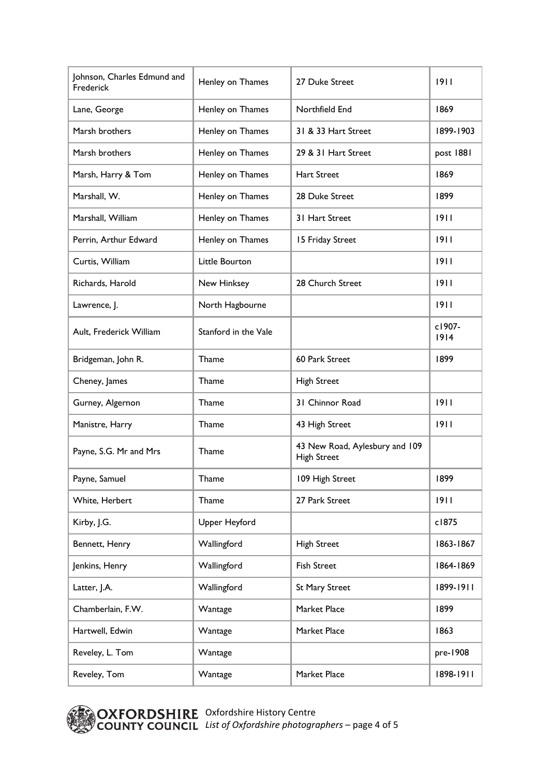| Johnson, Charles Edmund and<br>Frederick | Henley on Thames     | 27 Duke Street                                       | 1911           |
|------------------------------------------|----------------------|------------------------------------------------------|----------------|
| Lane, George                             | Henley on Thames     | Northfield End                                       | 1869           |
| Marsh brothers                           | Henley on Thames     | 31 & 33 Hart Street                                  | 1899-1903      |
| Marsh brothers                           | Henley on Thames     | 29 & 31 Hart Street                                  | post 1881      |
| Marsh, Harry & Tom                       | Henley on Thames     | <b>Hart Street</b>                                   | 1869           |
| Marshall, W.                             | Henley on Thames     | 28 Duke Street                                       | 1899           |
| Marshall, William                        | Henley on Thames     | 31 Hart Street                                       | 1911           |
| Perrin, Arthur Edward                    | Henley on Thames     | 15 Friday Street                                     | 1911           |
| Curtis, William                          | Little Bourton       |                                                      | 1911           |
| Richards, Harold                         | New Hinksey          | 28 Church Street                                     | 1911           |
| Lawrence, J.                             | North Hagbourne      |                                                      | 1911           |
| Ault, Frederick William                  | Stanford in the Vale |                                                      | c1907-<br>1914 |
| Bridgeman, John R.                       | Thame                | 60 Park Street                                       | 1899           |
| Cheney, James                            | Thame                | <b>High Street</b>                                   |                |
| Gurney, Algernon                         | Thame                | 31 Chinnor Road                                      | 1911           |
| Manistre, Harry                          | Thame                | 43 High Street                                       | 1911           |
| Payne, S.G. Mr and Mrs                   | Thame                | 43 New Road, Aylesbury and 109<br><b>High Street</b> |                |
| Payne, Samuel                            | Thame                | 109 High Street                                      | 1899           |
| White, Herbert                           | Thame                | 27 Park Street                                       | 1911           |
| Kirby, J.G.                              | Upper Heyford        |                                                      | c1875          |
| Bennett, Henry                           | Wallingford          | <b>High Street</b>                                   | 1863-1867      |
| Jenkins, Henry                           | Wallingford          | <b>Fish Street</b>                                   | 1864-1869      |
| Latter, J.A.                             | Wallingford          | <b>St Mary Street</b>                                | 1899-1911      |
| Chamberlain, F.W.                        | Wantage              | Market Place                                         | 1899           |
| Hartwell, Edwin                          | Wantage              | Market Place                                         | 1863           |
| Reveley, L. Tom                          | Wantage              |                                                      | pre-1908       |
| Reveley, Tom                             | Wantage              | Market Place                                         | 1898-1911      |